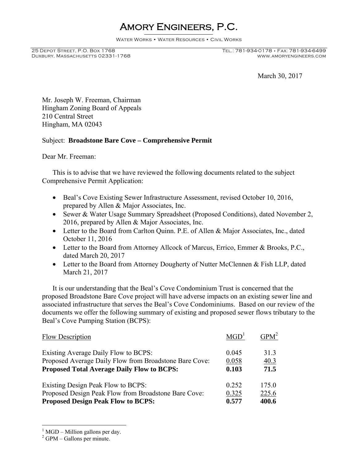## Amory Engineers, P.C.

WATER WORKS • WATER RESOURCES • CIVIL WORKS

Duxbury, Massachusetts 02331-1768

## 25 Depot Street, P.O. Box 1768 Tel.: 781-934-0178 • Fax: 781-934-6499

March 30, 2017

Mr. Joseph W. Freeman, Chairman Hingham Zoning Board of Appeals 210 Central Street Hingham, MA 02043

## Subject: **Broadstone Bare Cove – Comprehensive Permit**

Dear Mr. Freeman:

 This is to advise that we have reviewed the following documents related to the subject Comprehensive Permit Application:

- Beal's Cove Existing Sewer Infrastructure Assessment, revised October 10, 2016, prepared by Allen & Major Associates, Inc.
- Sewer & Water Usage Summary Spreadsheet (Proposed Conditions), dated November 2, 2016, prepared by Allen & Major Associates, Inc.
- Letter to the Board from Carlton Quinn. P.E. of Allen & Major Associates, Inc., dated October 11, 2016
- Letter to the Board from Attorney Allcock of Marcus, Errico, Emmer & Brooks, P.C., dated March 20, 2017
- Letter to the Board from Attorney Dougherty of Nutter McClennen & Fish LLP, dated March 21, 2017

 It is our understanding that the Beal's Cove Condominium Trust is concerned that the proposed Broadstone Bare Cove project will have adverse impacts on an existing sewer line and associated infrastructure that serves the Beal's Cove Condominiums. Based on our review of the documents we offer the following summary of existing and proposed sewer flows tributary to the Beal's Cove Pumping Station (BCPS):

| Flow Description                                       | MGD <sup>1</sup> | $GPM^2$ |
|--------------------------------------------------------|------------------|---------|
| Existing Average Daily Flow to BCPS:                   | 0.045            | 313     |
| Proposed Average Daily Flow from Broadstone Bare Cove: | 0.058            | 40.3    |
| <b>Proposed Total Average Daily Flow to BCPS:</b>      | 0.103            | 71.5    |
| Existing Design Peak Flow to BCPS:                     | 0.252            | 175.0   |
| Proposed Design Peak Flow from Broadstone Bare Cove:   | 0.325            | 225.6   |
| <b>Proposed Design Peak Flow to BCPS:</b>              | 0.577            | 400.6   |

 $<sup>1</sup>$  MGD – Million gallons per day.</sup>

 $\overline{a}$ 

 $2$  GPM – Gallons per minute.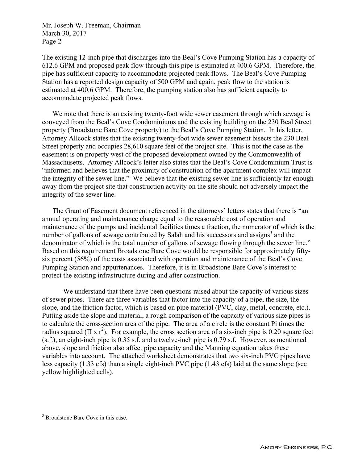Mr. Joseph W. Freeman, Chairman March 30, 2017 Page 2

The existing 12-inch pipe that discharges into the Beal's Cove Pumping Station has a capacity of 612.6 GPM and proposed peak flow through this pipe is estimated at 400.6 GPM. Therefore, the pipe has sufficient capacity to accommodate projected peak flows. The Beal's Cove Pumping Station has a reported design capacity of 500 GPM and again, peak flow to the station is estimated at 400.6 GPM. Therefore, the pumping station also has sufficient capacity to accommodate projected peak flows.

 We note that there is an existing twenty-foot wide sewer easement through which sewage is conveyed from the Beal's Cove Condominiums and the existing building on the 230 Beal Street property (Broadstone Bare Cove property) to the Beal's Cove Pumping Station. In his letter, Attorney Allcock states that the existing twenty-foot wide sewer easement bisects the 230 Beal Street property and occupies 28,610 square feet of the project site. This is not the case as the easement is on property west of the proposed development owned by the Commonwealth of Massachusetts. Attorney Allcock's letter also states that the Beal's Cove Condominium Trust is "informed and believes that the proximity of construction of the apartment complex will impact the integrity of the sewer line." We believe that the existing sewer line is sufficiently far enough away from the project site that construction activity on the site should not adversely impact the integrity of the sewer line.

 The Grant of Easement document referenced in the attorneys' letters states that there is "an annual operating and maintenance charge equal to the reasonable cost of operation and maintenance of the pumps and incidental facilities times a fraction, the numerator of which is the number of gallons of sewage contributed by Salah and his successors and assigns<sup>3</sup> and the denominator of which is the total number of gallons of sewage flowing through the sewer line." Based on this requirement Broadstone Bare Cove would be responsible for approximately fiftysix percent (56%) of the costs associated with operation and maintenance of the Beal's Cove Pumping Station and appurtenances. Therefore, it is in Broadstone Bare Cove's interest to protect the existing infrastructure during and after construction.

 We understand that there have been questions raised about the capacity of various sizes of sewer pipes. There are three variables that factor into the capacity of a pipe, the size, the slope, and the friction factor, which is based on pipe material (PVC, clay, metal, concrete, etc.). Putting aside the slope and material, a rough comparison of the capacity of various size pipes is to calculate the cross-section area of the pipe. The area of a circle is the constant Pi times the radius squared ( $\pi$  x r<sup>2</sup>). For example, the cross section area of a six-inch pipe is 0.20 square feet (s.f.), an eight-inch pipe is 0.35 s.f. and a twelve-inch pipe is 0.79 s.f. However, as mentioned above, slope and friction also affect pipe capacity and the Manning equation takes these variables into account. The attached worksheet demonstrates that two six-inch PVC pipes have less capacity (1.33 cfs) than a single eight-inch PVC pipe (1.43 cfs) laid at the same slope (see yellow highlighted cells).

 $\overline{a}$ 

<sup>&</sup>lt;sup>3</sup> Broadstone Bare Cove in this case.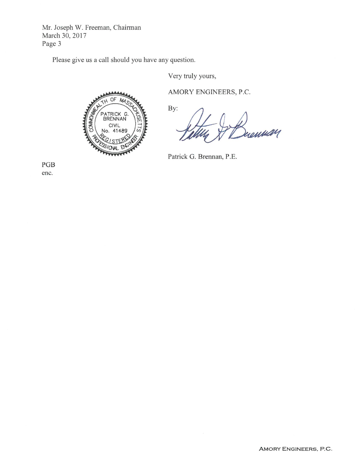Mr. Joseph W. Freeman, Chairman March 30, 2017 Page 3

Please give us a call should you have any question.

Very truly yours,



AMORY ENGINEERS, P.C.

By: rentult 1

Patrick G. Brennan, P.E.

PGB enc.